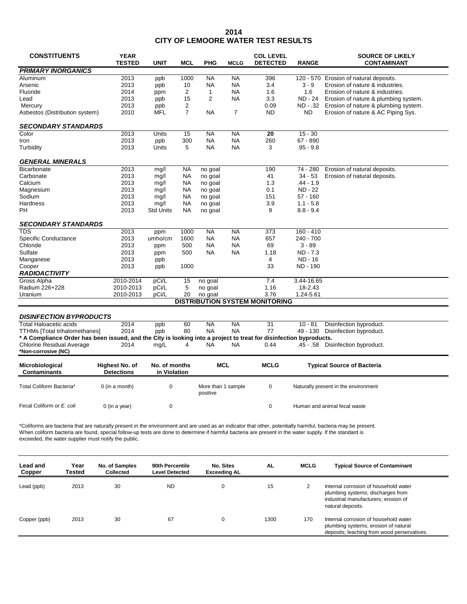## **2014 CITY OF LEMOORE WATER TEST RESULTS**

| <b>CONSTITUENTS</b>                                                                                                | <b>YEAR</b>                         |                               |                |                                |                | <b>COL LEVEL</b>                      |                 | <b>SOURCE OF LIKELY</b>                       |
|--------------------------------------------------------------------------------------------------------------------|-------------------------------------|-------------------------------|----------------|--------------------------------|----------------|---------------------------------------|-----------------|-----------------------------------------------|
|                                                                                                                    | TESTED                              | UNIT                          | MCL            | <b>PHG</b>                     | <b>MCLG</b>    | <b>DETECTED</b>                       | <b>RANGE</b>    | <b>CONTAMINANT</b>                            |
| <b>PRIMARY INORGANICS</b>                                                                                          |                                     |                               |                |                                |                |                                       |                 |                                               |
| Aluminum                                                                                                           | 2013                                | ppb                           | 1000           | NA                             | <b>NA</b>      | 396                                   |                 | 120 - 570 Erosion of natural deposits.        |
| Arsenic                                                                                                            | 2013                                | ppb                           | 10             | NA                             | <b>NA</b>      | 3.4                                   | $3 - 9$         | Erosion of nature & industries.               |
| Fluoride                                                                                                           | 2014                                | ppm                           | $\overline{c}$ | 1                              | <b>NA</b>      | 1.6                                   | 1.6             | Erosion of nature & industries.               |
| Lead                                                                                                               | 2013                                | ppb                           | 15             | 2                              | <b>NA</b>      | 3.3                                   |                 | ND - 24 Erosion of nature & plumbing system.  |
| Mercury                                                                                                            | 2013                                | ppb                           | 2              |                                |                | 0.09                                  |                 | ND - .32 Erosion of nature & plumbing system. |
| Asbestos (Distribution system)                                                                                     | 2010                                | <b>MFL</b>                    | $\overline{7}$ | <b>NA</b>                      | $\overline{7}$ | <b>ND</b>                             | ND.             | Erosion of nature & AC Piping Sys.            |
| <b>SECONDARY STANDARDS</b>                                                                                         |                                     |                               |                |                                |                |                                       |                 |                                               |
| Color                                                                                                              | 2013                                | Units                         | 15             | <b>NA</b>                      | <b>NA</b>      | 20                                    | $15 - 30$       |                                               |
| Iron                                                                                                               | 2013                                | ppb                           | 300            | <b>NA</b>                      | <b>NA</b>      | 260                                   | 67 - 890        |                                               |
| Turbidity                                                                                                          | 2013                                | Units                         | 5              | <b>NA</b>                      | <b>NA</b>      | 3                                     | $.95 - 9.8$     |                                               |
| <b>GENERAL MINERALS</b>                                                                                            |                                     |                               |                |                                |                |                                       |                 |                                               |
| <b>Bicarbonate</b>                                                                                                 | 2013                                | mg/l                          | <b>NA</b>      | no goal                        |                | 190                                   | 74 - 280        | Erosion of natural deposits.                  |
| Carbonate                                                                                                          | 2013                                | mg/l                          | NA.            | no goal                        |                | 41                                    | $34 - 53$       | Erosion of natural deposits.                  |
| Calcium                                                                                                            | 2013                                | mq/l                          | <b>NA</b>      | no goal                        |                | 1.3                                   | $.44 - 1.9$     |                                               |
| Magnesium                                                                                                          | 2013                                | mq/l                          | NA             | no goal                        |                | 0.1                                   | <b>ND - 22</b>  |                                               |
| Sodium                                                                                                             | 2013                                | mg/l                          | NA.            | no goal                        |                | 151                                   | $57 - 160$      |                                               |
| Hardness                                                                                                           | 2013                                | mg/l                          | <b>NA</b>      | no goal                        |                | 3.9                                   | $1.1 - 5.8$     |                                               |
| PH                                                                                                                 | 2013                                | <b>Std Units</b>              | NA             | no goal                        |                | 9                                     | $8.8 - 9.4$     |                                               |
| <b>SECONDARY STANDARDS</b>                                                                                         |                                     |                               |                |                                |                |                                       |                 |                                               |
| <b>TDS</b>                                                                                                         | 2013                                | ppm                           | 1000           | <b>NA</b>                      | <b>NA</b>      | 373                                   | $160 - 410$     |                                               |
| <b>Specific Conductance</b>                                                                                        | 2013                                | umho/cm                       | 1600           | NA                             | NA.            | 657                                   | 240 - 700       |                                               |
| Chloride                                                                                                           | 2013                                | ppm                           | 500            | <b>NA</b>                      | <b>NA</b>      | 69                                    | $3 - 89$        |                                               |
| Sulfate                                                                                                            | 2013                                | ppm                           | 500            | <b>NA</b>                      | NA             | 1.18                                  | ND - 7.3        |                                               |
| Manganese                                                                                                          | 2013                                | ppb                           |                |                                |                | 4                                     | ND - 16         |                                               |
| Cooper                                                                                                             | 2013                                | ppb                           | 1000           |                                |                | 33                                    | <b>ND - 190</b> |                                               |
| <b>RADIOACTIVITY</b>                                                                                               |                                     |                               |                |                                |                |                                       |                 |                                               |
| Gross Alpha                                                                                                        | 2010-2014                           | pCi/L                         | 15             | no goal                        |                | 7.4                                   | 3.44-16.65      |                                               |
| Radium 226+228                                                                                                     | 2010-2013                           | pCi/L                         | 5              | no goal                        |                | 1.16                                  | $.18 - 2.43$    |                                               |
| Uranium                                                                                                            | 2010-2013                           | pCi/L                         | 20             | no goal                        |                | 3.76                                  | 1.24-5.61       |                                               |
|                                                                                                                    |                                     |                               |                |                                |                | <b>DISTRIBUTION SYSTEM MONITORING</b> |                 |                                               |
| <b>DISINFECTION BYPRODUCTS</b>                                                                                     |                                     |                               |                |                                |                |                                       |                 |                                               |
| <b>Total Haloacetic acids</b>                                                                                      | 2014                                | ppb                           | 60             | <b>NA</b>                      | <b>NA</b>      | 31                                    | $10 - 81$       | Disinfection byproduct.                       |
| <b>TTHMs</b> [Total trihalomethanes]                                                                               | 2014                                | ppb                           | 80             | <b>NA</b>                      | <b>NA</b>      | 77                                    | 49 - 130        | Disinfection byproduct.                       |
| * A Compliance Order has been issued, and the City is looking into a project to treat for disinfection byproducts. |                                     |                               |                |                                |                |                                       |                 |                                               |
| <b>Chlorine Residual Average</b>                                                                                   | 2014                                | mg/L                          | 4              | <b>NA</b>                      | NA             | 0.44                                  | .45 - .58       | Disinfection byproduct.                       |
| *Non-corrosive (NC)                                                                                                |                                     |                               |                |                                |                |                                       |                 |                                               |
| Microbiological<br><b>Contaminants</b>                                                                             | Highest No. of<br><b>Detections</b> | No. of months<br>in Violation |                | <b>MCL</b>                     |                | <b>MCLG</b>                           |                 | <b>Typical Source of Bacteria</b>             |
| Total Coliform Bacteria*                                                                                           | 0 (in a month)                      | $\pmb{0}$                     |                | More than 1 sample<br>positive |                | 0                                     |                 | Naturally present in the environment          |
| Fecal Coliform or E. coli                                                                                          | 0 (in a year)                       | 0                             |                |                                |                | 0                                     |                 | Human and animal fecal waste                  |

\*Coliforms are bacteria that are naturally present in the environment and are used as an indicator that other, potentially harmful, bacteria may be present. When coliform bacteria are found, special follow-up tests are done to determine if harmful bacteria are present in the water supply. If the standard is exceeded, the water supplier must notify the public.

| Lead and<br>Copper | Year<br>Tested | No. of Samples<br>Collected | 90th Percentile<br><b>Level Detected</b> | No. Sites<br><b>Exceeding AL</b> | <b>AL</b> | <b>MCLG</b> | <b>Typical Source of Contaminant</b>                                                                                                    |
|--------------------|----------------|-----------------------------|------------------------------------------|----------------------------------|-----------|-------------|-----------------------------------------------------------------------------------------------------------------------------------------|
| Lead (ppb)         | 2013           | 30                          | <b>ND</b>                                | 0                                | 15        | 2           | Internal corrosion of household water<br>plumbing systems; discharges from<br>industrial manufacturers; erosion of<br>natural deposits. |
| Copper (ppb)       | 2013           | 30                          | 67                                       | 0                                | 1300      | 170         | Internal corrosion of household water<br>plumbing systems; erosion of natural<br>deposits; leaching from wood perservatives.            |